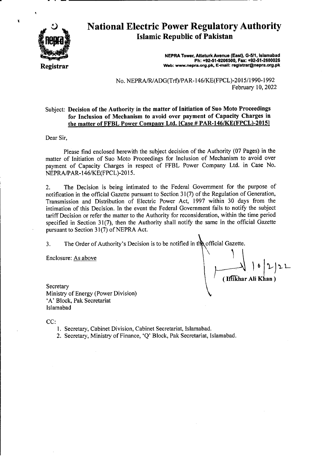

Ï

# **National Electric Power Regulatory Authority Islamic Republic of Pakistan**

**NEPRA Tower, Attaturk Avenue (East), 0-5/1, IsIamabad Ph: +92-51 -9206500, Fax: +92.51.2600026**  Web: www.nepra.org.pk, E-mail: registrar@nepra.org.pk

No. NEPRA/RIADG(Trf)/PAR- 146/KE(FPCL)-20 15/1990-1992 February 10, 2022

#### Subject: **Decision of** the Authority in the **matter of Initiation of Suo Moto Proceedings for Inclusion of Mechanism to avoid over payment of** Capacity Charges in the matter of FFBL Power Company Ltd. [Case # PAR-146/KE(FPCL)-2015]

Dear Sir,

Please find enclosed herewith the subject decision of the Authority (07 Pages) in the matter of Initiation of Suo Moto Proceedings for Inclusion of Mechanism to avoid over payment of Capacity Charges in respect of FFBL Power Company Ltd. in Case No. NEPRA/PAR- 1 46/KE(FPCL)-20 15.

2. The Decision is being intimated to the Federal Government for the purpose of notification in the official Gazette pursuant to Section 3 1(7) of the Regulation of Generation, Transmission and Distribution of Electric Power Act, 1997 within 30 days from the intimation of this Decision. In the event the Federal Government fails to notify the subject tariff Decision or refer the matter to the Authority for reconsideration, within the time period specified in Section 31(7), then the Authority shall notify the same in the official Gazette pursuant to Section 31(7) of NEPRA Act.

3. The Order of Authority's Decision is to be notified in the official Gazette.

Enclosure: As above

 $\sum_{i=1}^{n}$ (Iffikhar Ali Khan)

Secretary Ministry of Energy (Power Division) 'A' Block, Pak Secretariat Islamabad

CC:

- 1. Secretary, Cabinet Division, Cabinet Secretariat, Islamabad.
- 2. Secretary, Ministry of Finance, 'Q' Block, Pak Secretariat, Islamabad.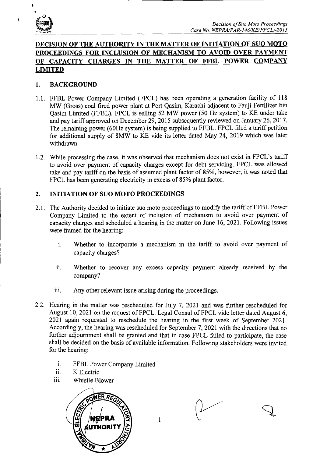

4

4

## **DECISION OF THE AUTHORITY IN THE MATTER OF INITIATION OF SUO MOTO PROCEEDINGS FOR INCLUSION OF MECHANISM TO AVOID OVER PAYMENT OF CAPACITY CHARGES IN THE MATTER OF FFBL POWER COMPANY LIMITED**

#### **1. BACKGROUND**

- 1.1. FFBL Power Company Limited (FPCL) has been operating a generation facility of 118 MW (Gross) coal fired power plant at Port Qasim, Karachi adjacent to Fauji Fertilizer bin Qasim Limited (FFBL). FPCL is selling 52 MW power (50 Hz system) to KE under take and pay tariff approved on December 29, 2015 subsequently reviewed on January 26, 2017. The remaining power (60Hz system) is being supplied to FFBL. FPCL filed a tariff petition for additional supply of 8MW to KE vide its letter dated May 24, 2019 which was later withdrawn.
- 1.2. While processing the case, it was observed that mechanism does not exist in FPCL's tariff to avoid over payment of capacity charges except for debt servicing. FPCL was allowed take and pay tariff on the basis of assumed plant factor of 85%, however, it was noted that FPCL has been generating electricity in excess of *85%* plant factor.

#### **2. INITIATION OF SUO MOTO PROCEEDINGS**

- 2.1. The Authority decided to initiate suo moto proceedings to modify the tariff of FFBL Power Company Limited to the extent of inclusion of mechanism to avoid over payment of capacity charges and scheduled a hearing in the matter on June 16, 2021. Following issues were framed for the hearing:
	- i. Whether to incorporate a mechanism in the tariff to avoid over payment of capacity charges?
	- ii. Whether to recover any excess capacity payment already received by the company?
	- iii. Any other relevant issue arising during the proceedings.
- 2.2. Hearing in the matter was rescheduled for July 7, 2021 and was further rescheduled for August 10, 2021 on the request of FPCL. Legal Consul of FPCL vide letter dated August 6, 2021 again requested to reschedule the hearing in the first week of September 2021. Accordingly, the hearing was rescheduled for September 7, 2021 with the directions that no further adjournment shall be granted and that in case FPCL failed to participate, the case shall be decided on the basis of available information. Following stakeholders were invited for the hearing:
	- i. FFBL Power Company Limited
	- ii. K Electric
	- iii. Whistle Blower



1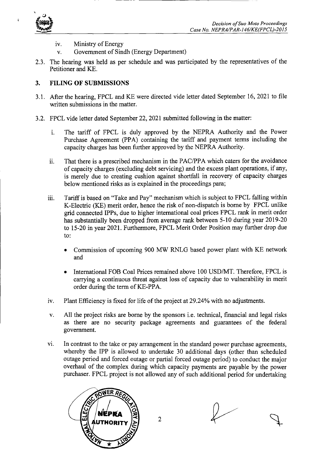

- iv. Ministry of Energy
- v. Government of Sindh (Energy Department)
- 2.3. The hearing was held as per schedule and was participated by the representatives of the Petitioner and KE.

#### **3. FILING OF SUBMISSIONS**

- 3.1. After the hearing, FPCL and KE were directed vide letter dated September 16, 2021 to file written submissions in the matter.
- 3.2. FPCL vide letter dated September 22, 2021 submitted following in the matter:
	- i. The tariff of FPCL is duly approved by the NEPRA Authority and the Power Purchase Agreement (PPA) containing the tariff and payment terms including the capacity charges has been further approved by the NEPRA Authority.
	- ii. That there is a prescribed mechanism in the PAC/PPA which caters for the avoidance of capacity charges (excluding debt servicing) and the excess plant operations, if any, is merely due to creating cushion against shortfall in recovery of capacity charges below mentioned risks as is explained in the proceedings para;
	- iii. Tariff is based on "Take and Pay" mechanism which is subject to FPCL falling within K-Electric (KE) merit order, hence the risk of non-dispatch is borne by FPCL unlike grid connected IPPs, due to higher international coal prices FPCL rank in merit order has substantially been dropped from average rank between 5-10 during year 2019-20 to 15-20 in year 2021. Furthermore, FPCL Merit Order Position may further drop due to:
		- Commission of upcoming 900 MW RNLG based power plant with KE network and
		- International FOB Coal Prices remained above 100 USD/MT. Therefore, FPCL is carrying a continuous threat against loss of capacity due to vulnerability in merit order during the term of KE-PPA.
	- iv. Plant Efficiency is fixed for life of the project at 29.24% with no adjustments.
	- v. All the project risks are borne by the sponsors i.e. technical, financial and legal risks as there are no security package agreements and guarantees of the federal government.
	- vi. In contrast to the take or pay arrangement in the standard power purchase agreements, whereby the IPP is allowed to undertake 30 additional days (other than scheduled outage period and forced outage or partial forced outage period) to conduct the major overhaul of the complex during which capacity payments are payable by the power purchaser. FPCL project is not allowed any of such additional period for undertaking

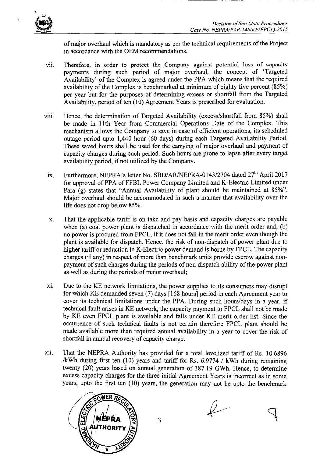

î

of major overhaul which is mandatory as per the technical requirements of the Project in accordance with the OEM recommendations.

- vii. Therefore, in order to protect the Company against potential loss of capacity payments during such period of major overhaul, the concept of 'Targeted Availability' of the Complex is agreed under the PPA which means that the required availability of the Complex is benchmarked at minimum of eighty five percent *(85%)*  per year but for the purposes of determining excess or shortfall from the Targeted Availability, period of ten (10) Agreement Years is prescribed for evaluation.
- viii. Hence, the determination of Targeted Availability (excess/shortfall from 85%) shall be made in 11th Year from Commercial Operations Date of the Complex. This mechanism allows the Company to save in case of efficient operations, its scheduled outage period upto 1,440 hour (60 days) during each Targeted Availability Period. These saved hours shall be used for the carrying of major overhaul and payment of capacity charges during such period. Such hours are prone to lapse after every target availability period, if not utilized by the Company.
- ix. Furthermore, NEPRA's letter No. SBD/AR/NEPRA-0143/2704 dated 27<sup>th</sup> April 2017 for approval of PPA of FFBL Power Company Limited and K-Electric Limited under Para (g) states that "Annual Availability of plant should be maintained at 85%". Major overhaul should be accommodated in such a manner that availability over the life does not drop below *85%.*
- x. That the applicable tariff is on take and pay basis and capacity charges are payable when (a) coal power plant is dispatched in accordance with the merit order and; (b) no power is procured from FPCL, if it does not fall in the merit order even though the plant is available for dispatch. Hence, the risk of non-dispatch of power plant due to higher tariff or reduction in K-Electric power demand is borne by FPCL. The capacity charges (if any) in respect of more than benchmark units provide escrow against nonpayment of such charges during the periods of non-dispatch ability of the power plant as well as during the periods of major overhaul;
- xi. Due to the KE network limitations, the power supplies to its consumers may disrupt for which KE. demanded seven (7) days [168 hours] period in each Agreement year to cover its technical limitations under the PPA. During such hours/days in a year, if technical fault arises in KE network, the capacity payment to FPCL shall not be made by KE even FPCL plant is available and falls under KE merit order list. Since the occurrence of such technical faults is not certain therefore FPCL plant should be made available more than required annual availability in a year to cover the risk of shortfall in annual recovery of capacity charge.
- xii. That the NEPRA Authority has provided for a total levelized tariff of Rs. 10.6896 /kWh during first ten (10) years and tariff for Rs. 6.9774 / kWh during remaining twenty (20) years based on annual generation of 387.19 GWh. Hence, to determine excess capacity charges for the three initial Agreement Years is incorrect as in some years, upto the first ten (10) years, the generation may not be upto the benchmark



3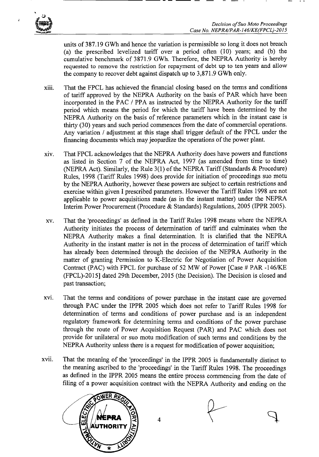

ï

units of 387.19 GWh and hence the variation is permissible so long it does not breach (a) the prescribed levelized tariff over a period often (10) years; and (b) the cumulative benchmark of 3871.9 GWh. Therefore, the NEPRA Authority is hereby requested to remove the restriction for repayment of debt up to ten years and allow the company to recover debt against dispatch up to 3,871.9 GWh only.

- xiii. That the FPCL has achieved the financial closing based on the terms and conditions of tariff approved by the NEPRA Authority on the basis of PAR which have been incorporated in the FAG *I* PPA as instructed by the NEPRA Authority for the tariff period which means the period for which the tariff have been determined by the NEPRA Authority on the basis of reference parameters which in the instant case is thirty (30) years and such period commences from the date of commercial operations. Any variation *I* adjustment at this stage shall trigger default of the FPCL under the financing documents which may jeopardize the operations of the power plant.
- xiv. That FPCL acknowledges that the NEPRA Authority does have powers and functions as listed in Section 7 of the NEPRA Act, 1997 (as amended from time to time) (NEPRA Act). Similarly, the Rule 3(1) of the NEPRA Tariff (Standards & Procedure) Rules, 1998 (Tariff Rules 1998) does provide for initiation of proceedings suo motu by the NEPRA Authority, however these powers are subject to certain restrictions and exercise within given I prescribed parameters. However the Tariff Rules 1998 are not applicable to power acquisitions made (as in the instant matter) under the NEPRA Interim Power Procurement (Procedure & Standards) Regulations, 2005 (IPPR 2005).
- xv. That the 'proceedings' as defined in the Tariff Rules 1998 means where the NEPRA Authority initiates the process of determination of tariff and culminates when the NEPRA Authority makes a final determination. It is clarified that the NEPRA Authority in the instant matter is not in the process of determination of tariff which has already been determined through the decision of the NEPRA Authority in the matter of granting Permission to K-Electric for Negotiation of Power Acquisition Contract (PAC) with FPCL for purchase of 52 MW of Power [Case # PAR -146/KE (FPCL)-2015] dated 29th December, 2015 (the Decision). The Decision is closed and past transaction;
- xvi. That the terms and conditions of power purchase in the instant case are governed through PAC under the IPPR 2005 which does not refer to Tariff Rules 1998 for determination of terms and conditions of power purchase and is an independent regulatory framework for determining terms and conditions of the power purchase through the route of Power Acquisition Request (PAR) and PAC which does not provide for unilateral or suo motu modification of such terms and conditions by the NEPRA Authority unless there is a request for modification of power acquisition;
- xvii. That the meaning of the 'proceedings' in the IPPR 2005 is fundamentally distinct to the meaning ascribed to the 'proceedings' in the Tariff Rules 1998. The proceedings as defined in the IPPR 2005 means the entire process commencing from the date of filing of a power acquisition contract with the NEPRA Authority and ending on the



4

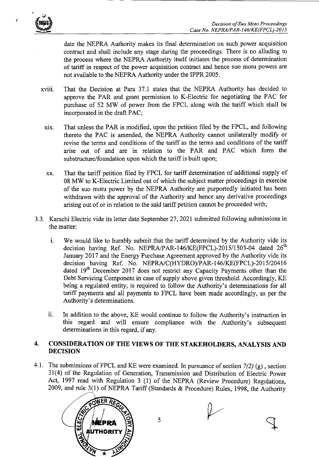

date the NEPRA Authority makes its final determination on such power acquisition contract and shall include any stage during the proceedings. There is no alluding to the process where the NEPRA Authority itself initiates the process of determination of tariff in respect of the power acquisition contract and hence suo motu powers are not available to the NEPRA Authority under the IPPR 2005.

- xviii, That the Decision at Para 37.1 states that the NEPRA Authority has decided to approve the PAR and grant permission to K-Electric for negotiating the PAC for purchase of 52 MW of power from the FPCL along with the tariff which shall be incorporated in the draft PAC;
	- xix. That unless the PAR is modified, upon the petition filed by the FPCL, and following thereto the PAC is amended, the NEPRA Authority cannot unilaterally modify or revise the terms and conditions of the tariff as the terms and conditions of the tariff arise out of and are in relation to the PAR and PAC which form the substructure/foundation upon which the tariff is built upon;
	- xx. That the tariff petition filed by FPCL for tariff determination of additional supply of 08 MW to K-Electric Limited out of which the subject matter proceedings in exercise of the suo motu power by the NEPRA Authority are purportedly initiated has been withdrawn with the approval of the Authority and hence any derivative proceedings arising out of or in relation to the said tariff petition cannot be proceeded with;
- 3.3. Karachi Electric vide its letter date September 27, 2021 submitted following submissions in the matter:
	- We would like to humbly submit that the tariff determined by the Authority vide its  $\mathbf{i}$ . decision having Ref. No. NEPRA/PAR-146/KE(FPCL)-2015/1503-04 dated  $26<sup>th</sup>$ January 2017 and the Energy Purchase Agreement approved by the Authority vide its decision having Ref. No. NEPRA/C(HYDRO)/PAR-146/KE(FPCL)-2015/20416 dated 19<sup>th</sup> December 2017 does not restrict any Capacity Payments other than the Debt Servicing Component in case of supply above given threshold. Accordingly, KE being a regulated entity, is required to follow the Authority's determinations for all tariff payments and all payments to FPCL have been made accordingly, as per the Authority's determinations.
	- ii. In addition to the above, KE would continue to follow the Authority's instruction in this regard and will ensure compliance with the Authority's subsequent determinations in this regard, if any.

#### **4. CONSIDERATION OF THE VIEWS OF THE STAKEHOLDERS, ANALYSIS AND DECISION**

4.1. The submissions of FPCL and KE were examined. In pursuance of section *7(2)* (g) , section 31(4) of the Regulation of Generation, Transmission and Distribution of Electric Power Act, 1997 read with Regulation 3 (1) of the NEPRA (Review Procedure) Regulations, 2009, and rule 3(1) of NEPRA Tariff (Standards & Procedure) Rules, 1998, the Authority



5

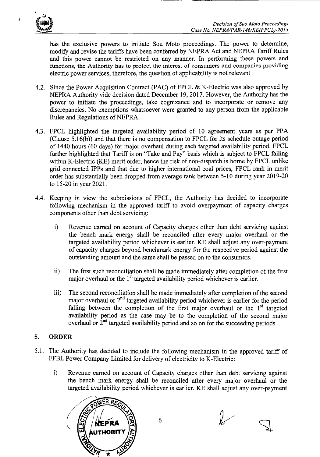

 $\boldsymbol{z}$ 

has the exclusive powers to initiate Sou Moto proceedings. The power to determine, modify and revise the tariffs have been conferred by NEPRA Act and NEPRA Tariff Rules and this power cannot be restricted on any manner. In performing these powers and functions, the Authority has to protect the interest of consumers and companies providing electric power services, therefore, the question of applicability is not relevant

- 4.2. Since the Power Acquisition Contract (PAC) of FPCL & K-Electric was also approved by NEPRA Authority vide decision dated December 19, 2017. However, the Authority has the power to initiate the proceedings, take cognizance and to incorporate or remove any discrepancies. No exemptions whatsoever were granted to any person from the applicable Rules and Regulations of NEPRA.
- 4.3. FPCL highlighted the targeted availability period of 10 agreement years as per PPA (Clause 5.16(b)) and that there is no compensation to FPCL for its schedule outage period of 1440 hours (60 days) for major overhaul during each targeted availability period. FPCL further highlighted that Tariff is on "Take and Pay" basis which is subject to FPCL falling within K-Electric (KE) merit order, hence the risk of non-dispatch is borne by FPCL unlike grid connected IPPs and that due to higher international coal prices, FPCL rank in merit order has substantially been dropped from average rank between 5-10 during year 2019-20 to 15-20 in year 2021.
- 4.4. Keeping in view the submissions of FPCL, the Authority has decided to incorporate following mechanism in the approved tariff to avoid overpayment of capacity charges components other than debt servicing:
	- i) Revenue earned on account of Capacity charges other than debt servicing against the bench mark energy shall be reconciled after every major overhaul or the targeted availability period whichever is earlier. KE shall adjust any over-payment of capacity charges beyond benchmark energy for the respective period against the outstanding amount and the same shall be passed on to the consumers.
	- ii) The first such reconciliation shall be made immediately after completion of the first major overhaul or the  $1<sup>st</sup>$  targeted availability period whichever is earlier.
	- iii) The second reconciliation shall be made immediately after completion of the second major overhaul or  $2<sup>nd</sup>$  targeted availability period whichever is earlier for the period falling between the completion of the first major overhaul or the  $1<sup>st</sup>$  targeted availability period as the case may be to the completion of the second major overhaul or  $2<sup>nd</sup>$  targeted availability period and so on for the succeeding periods

### 5. ORDER

- 5.1. The Authority has decided to include the following mechanism in the approved tariff of FFBL Power Company Limited for delivery of electricity to K-Electric:
	- i) Revenue earned on account of Capacity charges other than debt servicing against the bench mark energy shall be reconciled after every major overhaul or the targeted availability period whichever is earlier. KE shall adjust any over-payment